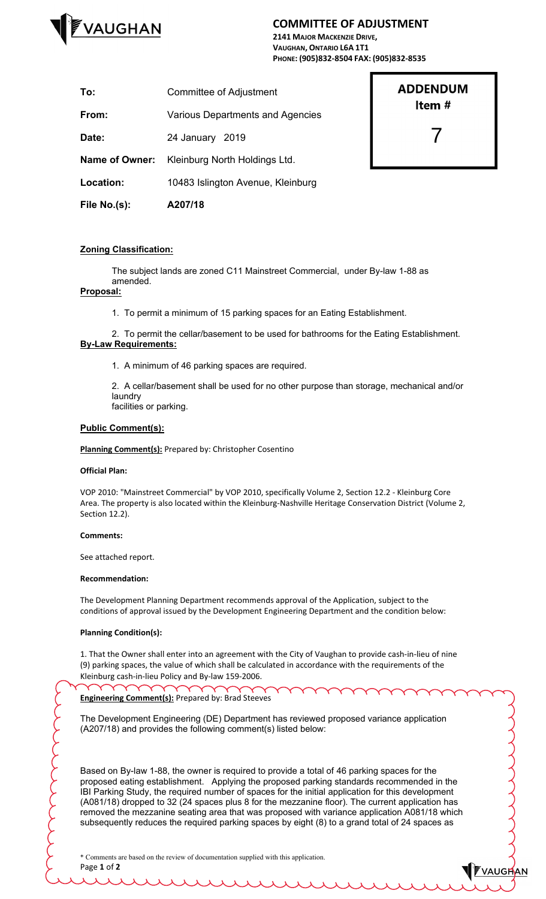

## **COMMITTEE OF ADJUSTMENT**

**2141 MAJOR MACKENZIE DRIVE, VAUGHAN, ONTARIO L6A 1T1 PHONE: (905)832-8504 FAX: (905)832-8535**

| File No.(s):          | A207/18                           |
|-----------------------|-----------------------------------|
| Location:             | 10483 Islington Avenue, Kleinburg |
| <b>Name of Owner:</b> | Kleinburg North Holdings Ltd.     |
| Date:                 | 24 January 2019                   |
| From:                 | Various Departments and Agencies  |
| To:                   | Committee of Adjustment           |

# **ADDENDUM** Item  $#$

7

**FVAUGHAN** 

### **Zoning Classification:**

The subject lands are zoned C11 Mainstreet Commercial, under By-law 1-88 as amended.

#### **Proposal:**

1. To permit a minimum of 15 parking spaces for an Eating Establishment.

2. To permit the cellar/basement to be used for bathrooms for the Eating Establishment. **By-Law Requirements:**

1. A minimum of 46 parking spaces are required.

2. A cellar/basement shall be used for no other purpose than storage, mechanical and/or laundry facilities or parking.

#### **Public Comment(s):**

**Planning Comment(s):** Prepared by: Christopher Cosentino

#### **Official Plan:**

VOP 2010: "Mainstreet Commercial" by VOP 2010, specifically Volume 2, Section 12.2 - Kleinburg Core Area. The property is also located within the Kleinburg-Nashville Heritage Conservation District (Volume 2, Section 12.2).

#### **Comments:**

See attached report.

#### **Recommendation:**

The Development Planning Department recommends approval of the Application, subject to the conditions of approval issued by the Development Engineering Department and the condition below:

#### **Planning Condition(s):**

1. That the Owner shall enter into an agreement with the City of Vaughan to provide cash-in-lieu of nine (9) parking spaces, the value of which shall be calculated in accordance with the requirements of the Kleinburg cash-in-lieu Policy and By-law 159-2006.

**Engineering Comment(s):** Prepared by: Brad Steeves

The Development Engineering (DE) Department has reviewed proposed variance application (A207/18) and provides the following comment(s) listed below:

Based on By-law 1-88, the owner is required to provide a total of 46 parking spaces for the proposed eating establishment. Applying the proposed parking standards recommended in the IBI Parking Study, the required number of spaces for the initial application for this development (A081/18) dropped to 32 (24 spaces plus 8 for the mezzanine floor). The current application has removed the mezzanine seating area that was proposed with variance application A081/18 which subsequently reduces the required parking spaces by eight (8) to a grand total of 24 spaces as

\* Comments are based on the review of documentation supplied with this application. Page **1** of **2**